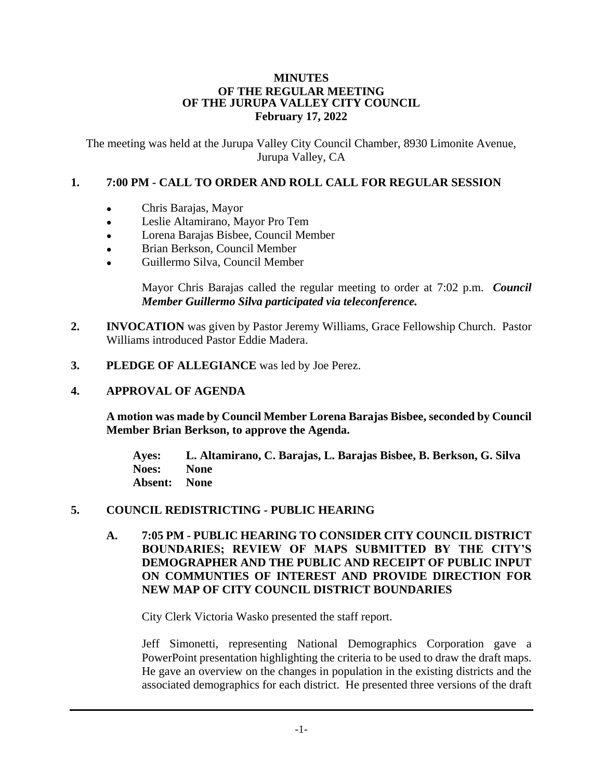#### **MINUTES OF THE REGULAR MEETING OF THE JURUPA VALLEY CITY COUNCIL February 17, 2022**

The meeting was held at the Jurupa Valley City Council Chamber, 8930 Limonite Avenue, Jurupa Valley, CA

## **1. 7:00 PM - CALL TO ORDER AND ROLL CALL FOR REGULAR SESSION**

- Chris Barajas, Mayor
- Leslie Altamirano, Mayor Pro Tem
- Lorena Barajas Bisbee, Council Member
- Brian Berkson, Council Member
- Guillermo Silva, Council Member

Mayor Chris Barajas called the regular meeting to order at 7:02 p.m. *Council Member Guillermo Silva participated via teleconference.*

- **2. INVOCATION** was given by Pastor Jeremy Williams, Grace Fellowship Church. Pastor Williams introduced Pastor Eddie Madera.
- **3. PLEDGE OF ALLEGIANCE** was led by Joe Perez.

## **4. APPROVAL OF AGENDA**

**A motion was made by Council Member Lorena Barajas Bisbee, seconded by Council Member Brian Berkson, to approve the Agenda.**

**Ayes: L. Altamirano, C. Barajas, L. Barajas Bisbee, B. Berkson, G. Silva Noes: None Absent: None**

## **5. COUNCIL REDISTRICTING - PUBLIC HEARING**

**A. 7:05 PM - PUBLIC HEARING TO CONSIDER CITY COUNCIL DISTRICT BOUNDARIES; REVIEW OF MAPS SUBMITTED BY THE CITY'S DEMOGRAPHER AND THE PUBLIC AND RECEIPT OF PUBLIC INPUT ON COMMUNTIES OF INTEREST AND PROVIDE DIRECTION FOR NEW MAP OF CITY COUNCIL DISTRICT BOUNDARIES**

City Clerk Victoria Wasko presented the staff report.

Jeff Simonetti, representing National Demographics Corporation gave a PowerPoint presentation highlighting the criteria to be used to draw the draft maps. He gave an overview on the changes in population in the existing districts and the associated demographics for each district. He presented three versions of the draft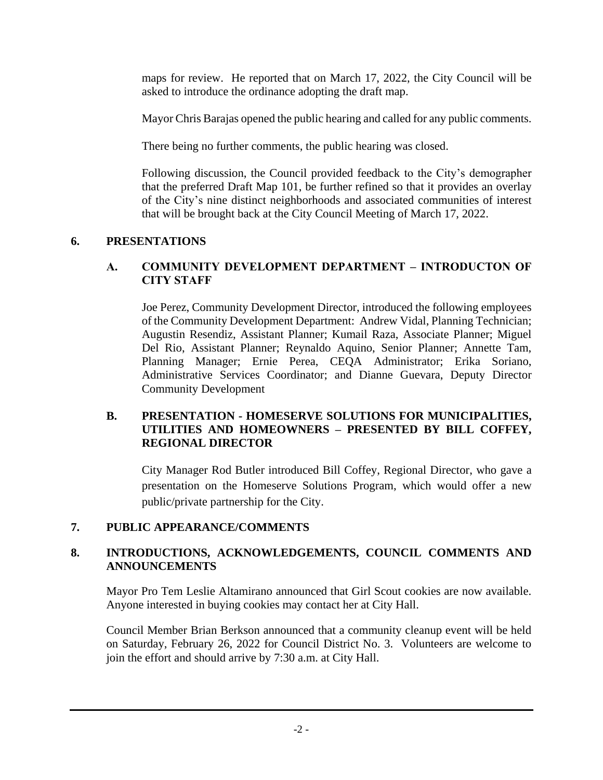maps for review. He reported that on March 17, 2022, the City Council will be asked to introduce the ordinance adopting the draft map.

Mayor Chris Barajas opened the public hearing and called for any public comments.

There being no further comments, the public hearing was closed.

Following discussion, the Council provided feedback to the City's demographer that the preferred Draft Map 101, be further refined so that it provides an overlay of the City's nine distinct neighborhoods and associated communities of interest that will be brought back at the City Council Meeting of March 17, 2022.

# **6. PRESENTATIONS**

# **A. COMMUNITY DEVELOPMENT DEPARTMENT – INTRODUCTON OF CITY STAFF**

Joe Perez, Community Development Director, introduced the following employees of the Community Development Department: Andrew Vidal, Planning Technician; Augustin Resendiz, Assistant Planner; Kumail Raza, Associate Planner; Miguel Del Rio, Assistant Planner; Reynaldo Aquino, Senior Planner; Annette Tam, Planning Manager; Ernie Perea, CEQA Administrator; Erika Soriano, Administrative Services Coordinator; and Dianne Guevara, Deputy Director Community Development

## **B. PRESENTATION - HOMESERVE SOLUTIONS FOR MUNICIPALITIES, UTILITIES AND HOMEOWNERS – PRESENTED BY BILL COFFEY, REGIONAL DIRECTOR**

City Manager Rod Butler introduced Bill Coffey, Regional Director, who gave a presentation on the Homeserve Solutions Program, which would offer a new public/private partnership for the City.

# **7. PUBLIC APPEARANCE/COMMENTS**

# **8. INTRODUCTIONS, ACKNOWLEDGEMENTS, COUNCIL COMMENTS AND ANNOUNCEMENTS**

Mayor Pro Tem Leslie Altamirano announced that Girl Scout cookies are now available. Anyone interested in buying cookies may contact her at City Hall.

Council Member Brian Berkson announced that a community cleanup event will be held on Saturday, February 26, 2022 for Council District No. 3. Volunteers are welcome to join the effort and should arrive by 7:30 a.m. at City Hall.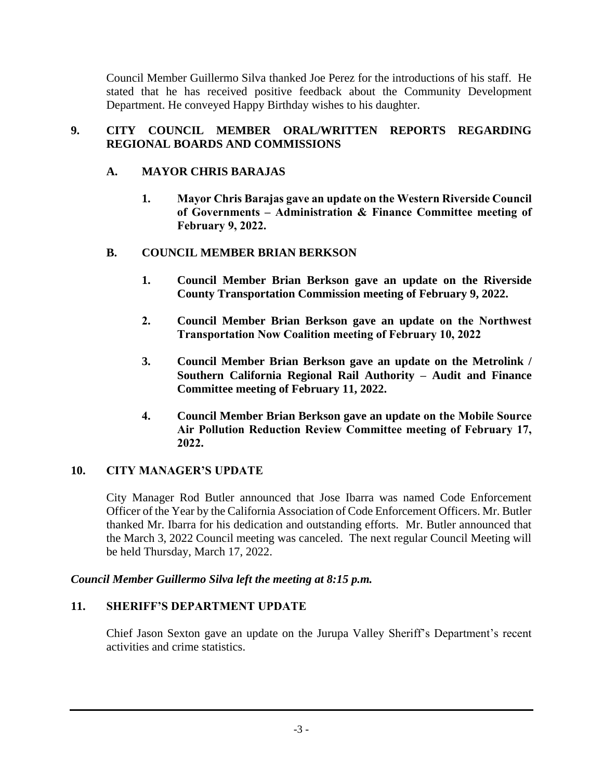Council Member Guillermo Silva thanked Joe Perez for the introductions of his staff. He stated that he has received positive feedback about the Community Development Department. He conveyed Happy Birthday wishes to his daughter.

# **9. CITY COUNCIL MEMBER ORAL/WRITTEN REPORTS REGARDING REGIONAL BOARDS AND COMMISSIONS**

# **A. MAYOR CHRIS BARAJAS**

**1. Mayor Chris Barajas gave an update on the Western Riverside Council of Governments – Administration & Finance Committee meeting of February 9, 2022.**

# **B. COUNCIL MEMBER BRIAN BERKSON**

- **1. Council Member Brian Berkson gave an update on the Riverside County Transportation Commission meeting of February 9, 2022.**
- **2. Council Member Brian Berkson gave an update on the Northwest Transportation Now Coalition meeting of February 10, 2022**
- **3. Council Member Brian Berkson gave an update on the Metrolink / Southern California Regional Rail Authority – Audit and Finance Committee meeting of February 11, 2022.**
- **4. Council Member Brian Berkson gave an update on the Mobile Source Air Pollution Reduction Review Committee meeting of February 17, 2022.**

## **10. CITY MANAGER'S UPDATE**

City Manager Rod Butler announced that Jose Ibarra was named Code Enforcement Officer of the Year by the California Association of Code Enforcement Officers. Mr. Butler thanked Mr. Ibarra for his dedication and outstanding efforts. Mr. Butler announced that the March 3, 2022 Council meeting was canceled. The next regular Council Meeting will be held Thursday, March 17, 2022.

## *Council Member Guillermo Silva left the meeting at 8:15 p.m.*

## **11. SHERIFF'S DEPARTMENT UPDATE**

Chief Jason Sexton gave an update on the Jurupa Valley Sheriff's Department's recent activities and crime statistics.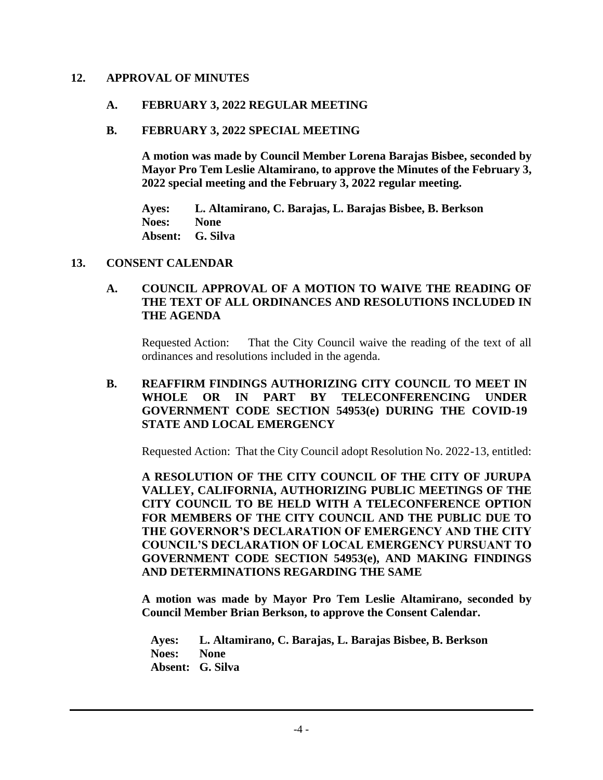#### **12. APPROVAL OF MINUTES**

#### **A. FEBRUARY 3, 2022 REGULAR MEETING**

#### **B. FEBRUARY 3, 2022 SPECIAL MEETING**

**A motion was made by Council Member Lorena Barajas Bisbee, seconded by Mayor Pro Tem Leslie Altamirano, to approve the Minutes of the February 3, 2022 special meeting and the February 3, 2022 regular meeting.**

**Ayes: L. Altamirano, C. Barajas, L. Barajas Bisbee, B. Berkson Noes: None Absent: G. Silva**

#### **13. CONSENT CALENDAR**

### **A. COUNCIL APPROVAL OF A MOTION TO WAIVE THE READING OF THE TEXT OF ALL ORDINANCES AND RESOLUTIONS INCLUDED IN THE AGENDA**

Requested Action: That the City Council waive the reading of the text of all ordinances and resolutions included in the agenda.

### **B. REAFFIRM FINDINGS AUTHORIZING CITY COUNCIL TO MEET IN WHOLE OR IN PART BY TELECONFERENCING UNDER GOVERNMENT CODE SECTION 54953(e) DURING THE COVID-19 STATE AND LOCAL EMERGENCY**

Requested Action: That the City Council adopt Resolution No. 2022-13, entitled:

**A RESOLUTION OF THE CITY COUNCIL OF THE CITY OF JURUPA VALLEY, CALIFORNIA, AUTHORIZING PUBLIC MEETINGS OF THE CITY COUNCIL TO BE HELD WITH A TELECONFERENCE OPTION FOR MEMBERS OF THE CITY COUNCIL AND THE PUBLIC DUE TO THE GOVERNOR'S DECLARATION OF EMERGENCY AND THE CITY COUNCIL'S DECLARATION OF LOCAL EMERGENCY PURSUANT TO GOVERNMENT CODE SECTION 54953(e), AND MAKING FINDINGS AND DETERMINATIONS REGARDING THE SAME**

**A motion was made by Mayor Pro Tem Leslie Altamirano, seconded by Council Member Brian Berkson, to approve the Consent Calendar.**

**Ayes: L. Altamirano, C. Barajas, L. Barajas Bisbee, B. Berkson Noes: None Absent: G. Silva**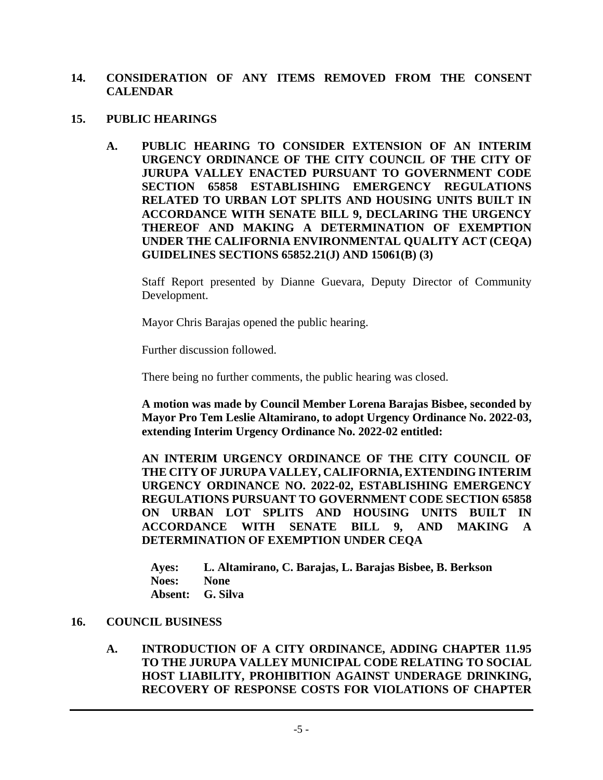### **14. CONSIDERATION OF ANY ITEMS REMOVED FROM THE CONSENT CALENDAR**

- **15. PUBLIC HEARINGS**
	- **A. PUBLIC HEARING TO CONSIDER EXTENSION OF AN INTERIM URGENCY ORDINANCE OF THE CITY COUNCIL OF THE CITY OF JURUPA VALLEY ENACTED PURSUANT TO GOVERNMENT CODE SECTION 65858 ESTABLISHING EMERGENCY REGULATIONS RELATED TO URBAN LOT SPLITS AND HOUSING UNITS BUILT IN ACCORDANCE WITH SENATE BILL 9, DECLARING THE URGENCY THEREOF AND MAKING A DETERMINATION OF EXEMPTION UNDER THE CALIFORNIA ENVIRONMENTAL QUALITY ACT (CEQA) GUIDELINES SECTIONS 65852.21(J) AND 15061(B) (3)**

Staff Report presented by Dianne Guevara, Deputy Director of Community Development.

Mayor Chris Barajas opened the public hearing.

Further discussion followed.

There being no further comments, the public hearing was closed.

**A motion was made by Council Member Lorena Barajas Bisbee, seconded by Mayor Pro Tem Leslie Altamirano, to adopt Urgency Ordinance No. 2022-03, extending Interim Urgency Ordinance No. 2022-02 entitled:**

**AN INTERIM URGENCY ORDINANCE OF THE CITY COUNCIL OF THE CITY OF JURUPA VALLEY, CALIFORNIA, EXTENDING INTERIM URGENCY ORDINANCE NO. 2022-02, ESTABLISHING EMERGENCY REGULATIONS PURSUANT TO GOVERNMENT CODE SECTION 65858 ON URBAN LOT SPLITS AND HOUSING UNITS BUILT IN ACCORDANCE WITH SENATE BILL 9, AND MAKING A DETERMINATION OF EXEMPTION UNDER CEQA**

**Ayes: L. Altamirano, C. Barajas, L. Barajas Bisbee, B. Berkson Noes: None Absent: G. Silva**

#### **16. COUNCIL BUSINESS**

### **A. INTRODUCTION OF A CITY ORDINANCE, ADDING CHAPTER 11.95 TO THE JURUPA VALLEY MUNICIPAL CODE RELATING TO SOCIAL HOST LIABILITY, PROHIBITION AGAINST UNDERAGE DRINKING, RECOVERY OF RESPONSE COSTS FOR VIOLATIONS OF CHAPTER**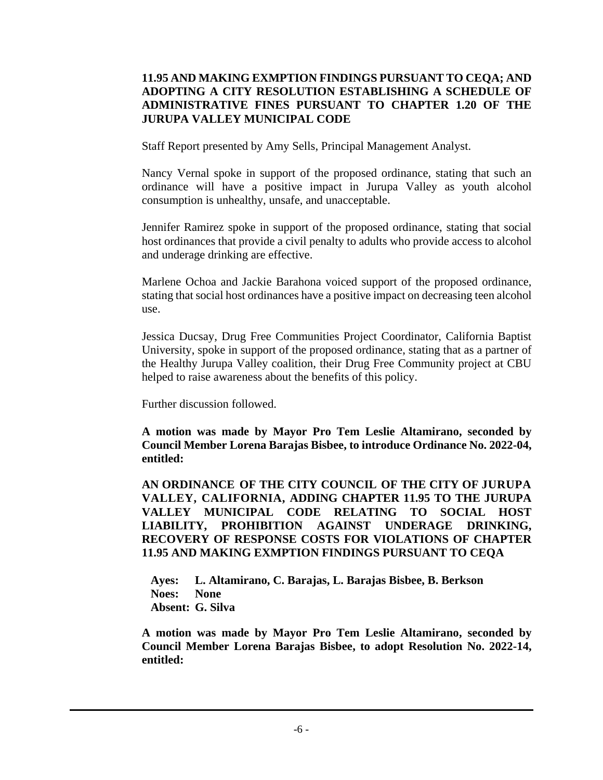## **11.95 AND MAKING EXMPTION FINDINGS PURSUANT TO CEQA; AND ADOPTING A CITY RESOLUTION ESTABLISHING A SCHEDULE OF ADMINISTRATIVE FINES PURSUANT TO CHAPTER 1.20 OF THE JURUPA VALLEY MUNICIPAL CODE**

Staff Report presented by Amy Sells, Principal Management Analyst.

Nancy Vernal spoke in support of the proposed ordinance, stating that such an ordinance will have a positive impact in Jurupa Valley as youth alcohol consumption is unhealthy, unsafe, and unacceptable.

Jennifer Ramirez spoke in support of the proposed ordinance, stating that social host ordinances that provide a civil penalty to adults who provide access to alcohol and underage drinking are effective.

Marlene Ochoa and Jackie Barahona voiced support of the proposed ordinance, stating that social host ordinances have a positive impact on decreasing teen alcohol use.

Jessica Ducsay, Drug Free Communities Project Coordinator, California Baptist University, spoke in support of the proposed ordinance, stating that as a partner of the Healthy Jurupa Valley coalition, their Drug Free Community project at CBU helped to raise awareness about the benefits of this policy.

Further discussion followed.

**A motion was made by Mayor Pro Tem Leslie Altamirano, seconded by Council Member Lorena Barajas Bisbee, to introduce Ordinance No. 2022-04, entitled:**

**AN ORDINANCE OF THE CITY COUNCIL OF THE CITY OF JURUPA VALLEY, CALIFORNIA, ADDING CHAPTER 11.95 TO THE JURUPA VALLEY MUNICIPAL CODE RELATING TO SOCIAL HOST LIABILITY, PROHIBITION AGAINST UNDERAGE DRINKING, RECOVERY OF RESPONSE COSTS FOR VIOLATIONS OF CHAPTER 11.95 AND MAKING EXMPTION FINDINGS PURSUANT TO CEQA**

**Ayes: L. Altamirano, C. Barajas, L. Barajas Bisbee, B. Berkson Noes: None Absent: G. Silva**

**A motion was made by Mayor Pro Tem Leslie Altamirano, seconded by Council Member Lorena Barajas Bisbee, to adopt Resolution No. 2022-14, entitled:**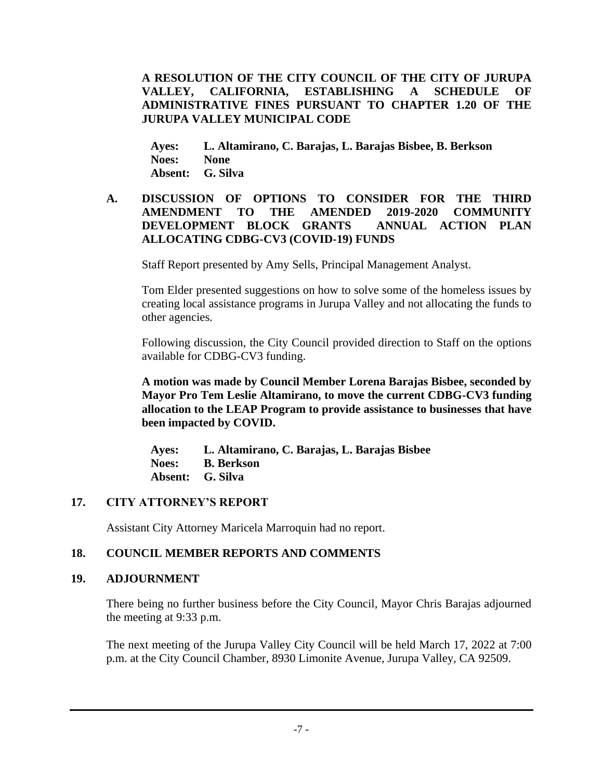**A RESOLUTION OF THE CITY COUNCIL OF THE CITY OF JURUPA VALLEY, CALIFORNIA, ESTABLISHING A SCHEDULE OF ADMINISTRATIVE FINES PURSUANT TO CHAPTER 1.20 OF THE JURUPA VALLEY MUNICIPAL CODE**

**Ayes: L. Altamirano, C. Barajas, L. Barajas Bisbee, B. Berkson Noes: None Absent: G. Silva**

### **A. DISCUSSION OF OPTIONS TO CONSIDER FOR THE THIRD AMENDMENT TO THE AMENDED 2019-2020 COMMUNITY DEVELOPMENT BLOCK GRANTS ANNUAL ACTION PLAN ALLOCATING CDBG-CV3 (COVID-19) FUNDS**

Staff Report presented by Amy Sells, Principal Management Analyst.

Tom Elder presented suggestions on how to solve some of the homeless issues by creating local assistance programs in Jurupa Valley and not allocating the funds to other agencies.

Following discussion, the City Council provided direction to Staff on the options available for CDBG-CV3 funding.

**A motion was made by Council Member Lorena Barajas Bisbee, seconded by Mayor Pro Tem Leslie Altamirano, to move the current CDBG-CV3 funding allocation to the LEAP Program to provide assistance to businesses that have been impacted by COVID.**

**Ayes: L. Altamirano, C. Barajas, L. Barajas Bisbee Noes: B. Berkson Absent: G. Silva** 

## **17. CITY ATTORNEY'S REPORT**

Assistant City Attorney Maricela Marroquin had no report.

## **18. COUNCIL MEMBER REPORTS AND COMMENTS**

## **19. ADJOURNMENT**

There being no further business before the City Council, Mayor Chris Barajas adjourned the meeting at 9:33 p.m.

The next meeting of the Jurupa Valley City Council will be held March 17, 2022 at 7:00 p.m. at the City Council Chamber, 8930 Limonite Avenue, Jurupa Valley, CA 92509.